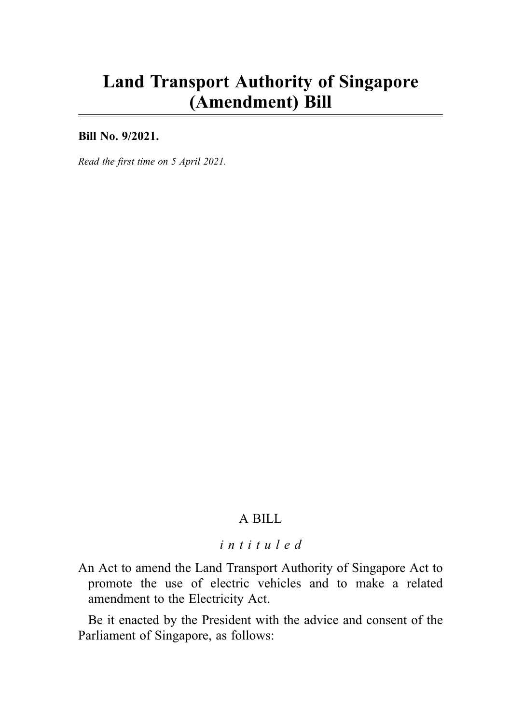# Land Transport Authority of Singapore (Amendment) Bill

Bill No. 9/2021.

Read the first time on 5 April 2021.

## A BILL

### intituled

An Act to amend the Land Transport Authority of Singapore Act to promote the use of electric vehicles and to make a related amendment to the Electricity Act.

Be it enacted by the President with the advice and consent of the Parliament of Singapore, as follows: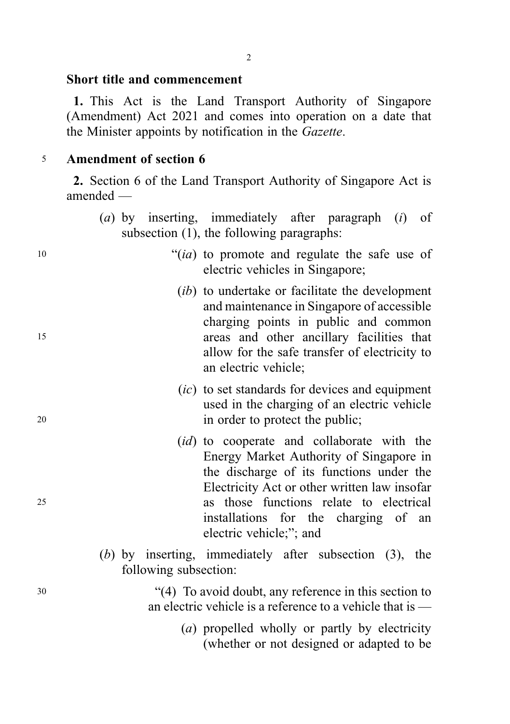#### Short title and commencement

1. This Act is the Land Transport Authority of Singapore (Amendment) Act 2021 and comes into operation on a date that the Minister appoints by notification in the Gazette.

#### <sup>5</sup> Amendment of section 6

2. Section 6 of the Land Transport Authority of Singapore Act is amended —

- (a) by inserting, immediately after paragraph (i) of subsection (1), the following paragraphs:
- <sup>10</sup> "(ia) to promote and regulate the safe use of electric vehicles in Singapore;
- (*ib*) to undertake or facilitate the development and maintenance in Singapore of accessible charging points in public and common <sup>15</sup> areas and other ancillary facilities that allow for the safe transfer of electricity to an electric vehicle;
- (ic) to set standards for devices and equipment used in the charging of an electric vehicle <sup>20</sup> in order to protect the public;
- (*id*) to cooperate and collaborate with the Energy Market Authority of Singapore in the discharge of its functions under the Electricity Act or other written law insofar <sup>25</sup> as those functions relate to electrical installations for the charging of an electric vehicle;"; and
	- (b) by inserting, immediately after subsection (3), the following subsection:

<sup>30</sup> "(4) To avoid doubt, any reference in this section to an electric vehicle is a reference to a vehicle that is —

> (a) propelled wholly or partly by electricity (whether or not designed or adapted to be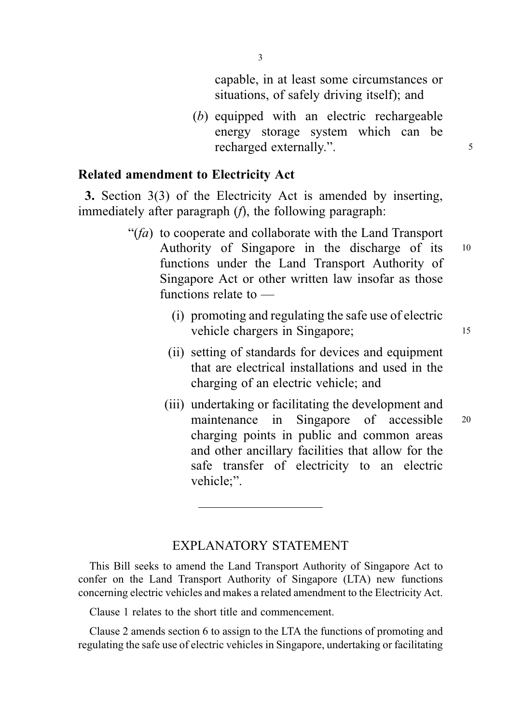capable, in at least some circumstances or situations, of safely driving itself); and

(b) equipped with an electric rechargeable energy storage system which can be recharged externally.".

#### Related amendment to Electricity Act

3. Section 3(3) of the Electricity Act is amended by inserting, immediately after paragraph (*f*), the following paragraph:

- " $(fa)$  to cooperate and collaborate with the Land Transport Authority of Singapore in the discharge of its <sup>10</sup> functions under the Land Transport Authority of Singapore Act or other written law insofar as those functions relate to —
	- (i) promoting and regulating the safe use of electric vehicle chargers in Singapore; 15
	- (ii) setting of standards for devices and equipment that are electrical installations and used in the charging of an electric vehicle; and
	- (iii) undertaking or facilitating the development and maintenance in Singapore of accessible <sup>20</sup> charging points in public and common areas and other ancillary facilities that allow for the safe transfer of electricity to an electric vehicle;".

## EXPLANATORY STATEMENT

This Bill seeks to amend the Land Transport Authority of Singapore Act to confer on the Land Transport Authority of Singapore (LTA) new functions concerning electric vehicles and makes a related amendment to the Electricity Act.

Clause 1 relates to the short title and commencement.

Clause 2 amends section 6 to assign to the LTA the functions of promoting and regulating the safe use of electric vehicles in Singapore, undertaking or facilitating